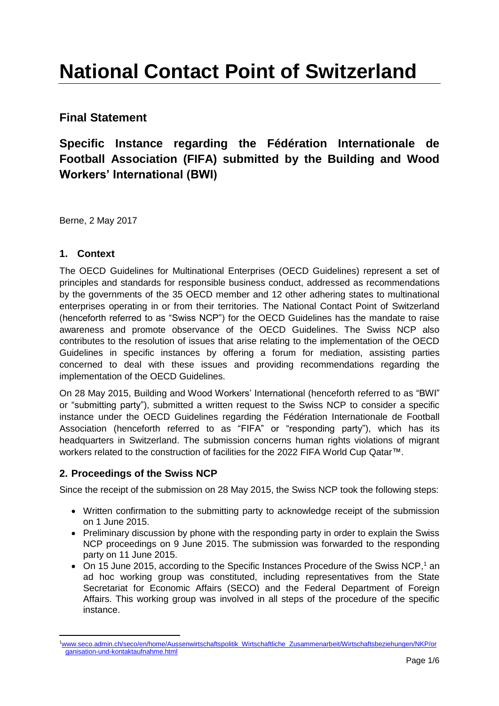# **National Contact Point of Switzerland**

# **Final Statement**

# **Specific Instance regarding the Fédération Internationale de Football Association (FIFA) submitted by the Building and Wood Workers' International (BWI)**

Berne, 2 May 2017

## **1. Context**

The OECD Guidelines for Multinational Enterprises (OECD Guidelines) represent a set of principles and standards for responsible business conduct, addressed as recommendations by the governments of the 35 OECD member and 12 other adhering states to multinational enterprises operating in or from their territories. The National Contact Point of Switzerland (henceforth referred to as "Swiss NCP") for the OECD Guidelines has the mandate to raise awareness and promote observance of the OECD Guidelines. The Swiss NCP also contributes to the resolution of issues that arise relating to the implementation of the OECD Guidelines in specific instances by offering a forum for mediation, assisting parties concerned to deal with these issues and providing recommendations regarding the implementation of the OECD Guidelines.

On 28 May 2015, Building and Wood Workers' International (henceforth referred to as "BWI" or "submitting party"), submitted a written request to the Swiss NCP to consider a specific instance under the OECD Guidelines regarding the Fédération Internationale de Football Association (henceforth referred to as "FIFA" or "responding party"), which has its headquarters in Switzerland. The submission concerns human rights violations of migrant workers related to the construction of facilities for the 2022 FIFA World Cup Qatar™.

## **2. Proceedings of the Swiss NCP**

Since the receipt of the submission on 28 May 2015, the Swiss NCP took the following steps:

- Written confirmation to the submitting party to acknowledge receipt of the submission on 1 June 2015.
- Preliminary discussion by phone with the responding party in order to explain the Swiss NCP proceedings on 9 June 2015. The submission was forwarded to the responding party on 11 June 2015.
- On 15 June 2015, according to the Specific Instances Procedure of the Swiss NCP,<sup>1</sup> an ad hoc working group was constituted, including representatives from the State Secretariat for Economic Affairs (SECO) and the Federal Department of Foreign Affairs. This working group was involved in all steps of the procedure of the specific instance.

l 1[www.seco.admin.ch/seco/en/home/Aussenwirtschaftspolitik\\_Wirtschaftliche\\_Zusammenarbeit/Wirtschaftsbeziehungen/NKP/or](http://www.seco.admin.ch/seco/en/home/Aussenwirtschaftspolitik_Wirtschaftliche_Zusammenarbeit/Wirtschaftsbeziehungen/NKP/organisation-und-kontaktaufnahme.html) [ganisation-und-kontaktaufnahme.html](http://www.seco.admin.ch/seco/en/home/Aussenwirtschaftspolitik_Wirtschaftliche_Zusammenarbeit/Wirtschaftsbeziehungen/NKP/organisation-und-kontaktaufnahme.html)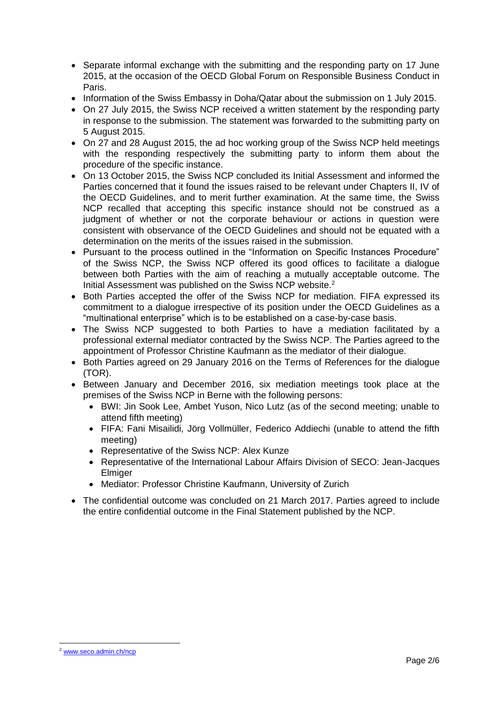- Separate informal exchange with the submitting and the responding party on 17 June 2015, at the occasion of the OECD Global Forum on Responsible Business Conduct in Paris.
- Information of the Swiss Embassy in Doha/Qatar about the submission on 1 July 2015.
- On 27 July 2015, the Swiss NCP received a written statement by the responding party in response to the submission. The statement was forwarded to the submitting party on 5 August 2015.
- On 27 and 28 August 2015, the ad hoc working group of the Swiss NCP held meetings with the responding respectively the submitting party to inform them about the procedure of the specific instance.
- On 13 October 2015, the Swiss NCP concluded its Initial Assessment and informed the Parties concerned that it found the issues raised to be relevant under Chapters II, IV of the OECD Guidelines, and to merit further examination. At the same time, the Swiss NCP recalled that accepting this specific instance should not be construed as a judgment of whether or not the corporate behaviour or actions in question were consistent with observance of the OECD Guidelines and should not be equated with a determination on the merits of the issues raised in the submission.
- Pursuant to the process outlined in the "Information on Specific Instances Procedure" of the Swiss NCP, the Swiss NCP offered its good offices to facilitate a dialogue between both Parties with the aim of reaching a mutually acceptable outcome. The Initial Assessment was published on the Swiss NCP website.<sup>2</sup>
- Both Parties accepted the offer of the Swiss NCP for mediation. FIFA expressed its commitment to a dialogue irrespective of its position under the OECD Guidelines as a "multinational enterprise" which is to be established on a case-by-case basis.
- The Swiss NCP suggested to both Parties to have a mediation facilitated by a professional external mediator contracted by the Swiss NCP. The Parties agreed to the appointment of Professor Christine Kaufmann as the mediator of their dialogue.
- Both Parties agreed on 29 January 2016 on the Terms of References for the dialogue (TOR).
- Between January and December 2016, six mediation meetings took place at the premises of the Swiss NCP in Berne with the following persons:
	- BWI: Jin Sook Lee, Ambet Yuson, Nico Lutz (as of the second meeting; unable to attend fifth meeting)
	- FIFA: Fani Misailidi, Jörg Vollmüller, Federico Addiechi (unable to attend the fifth meeting)
	- Representative of the Swiss NCP: Alex Kunze
	- Representative of the International Labour Affairs Division of SECO: Jean-Jacques **Elmiger**
	- Mediator: Professor Christine Kaufmann, University of Zurich
- The confidential outcome was concluded on 21 March 2017. Parties agreed to include the entire confidential outcome in the Final Statement published by the NCP.

 $\overline{a}$ <sup>2</sup> [www.seco.admin.ch/ncp](http://www.seco.admin.ch/ncp)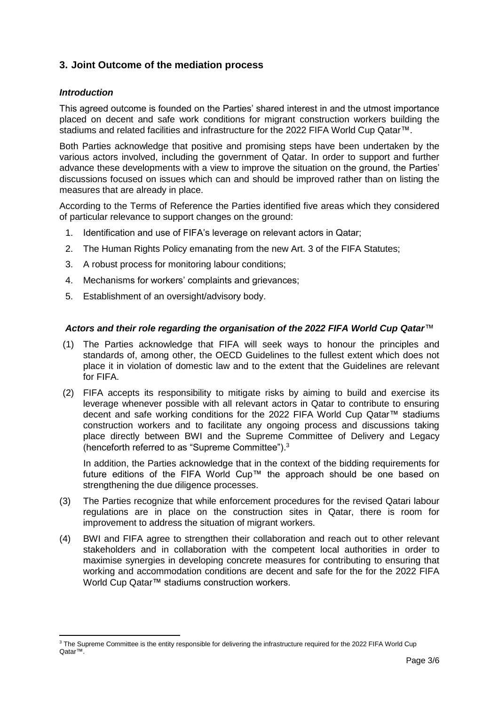# **3. Joint Outcome of the mediation process**

#### *Introduction*

l

This agreed outcome is founded on the Parties' shared interest in and the utmost importance placed on decent and safe work conditions for migrant construction workers building the stadiums and related facilities and infrastructure for the 2022 FIFA World Cup Qatar™.

Both Parties acknowledge that positive and promising steps have been undertaken by the various actors involved, including the government of Qatar. In order to support and further advance these developments with a view to improve the situation on the ground, the Parties' discussions focused on issues which can and should be improved rather than on listing the measures that are already in place.

According to the Terms of Reference the Parties identified five areas which they considered of particular relevance to support changes on the ground:

- 1. Identification and use of FIFA's leverage on relevant actors in Qatar;
- 2. The Human Rights Policy emanating from the new Art. 3 of the FIFA Statutes;
- 3. A robust process for monitoring labour conditions;
- 4. Mechanisms for workers' complaints and grievances;
- 5. Establishment of an oversight/advisory body.

#### *Actors and their role regarding the organisation of the 2022 FIFA World Cup Qatar™*

- (1) The Parties acknowledge that FIFA will seek ways to honour the principles and standards of, among other, the OECD Guidelines to the fullest extent which does not place it in violation of domestic law and to the extent that the Guidelines are relevant for FIFA.
- (2) FIFA accepts its responsibility to mitigate risks by aiming to build and exercise its leverage whenever possible with all relevant actors in Qatar to contribute to ensuring decent and safe working conditions for the 2022 FIFA World Cup Qatar™ stadiums construction workers and to facilitate any ongoing process and discussions taking place directly between BWI and the Supreme Committee of Delivery and Legacy (henceforth referred to as "Supreme Committee"). 3

In addition, the Parties acknowledge that in the context of the bidding requirements for future editions of the FIFA World Cup™ the approach should be one based on strengthening the due diligence processes.

- (3) The Parties recognize that while enforcement procedures for the revised Qatari labour regulations are in place on the construction sites in Qatar, there is room for improvement to address the situation of migrant workers.
- (4) BWI and FIFA agree to strengthen their collaboration and reach out to other relevant stakeholders and in collaboration with the competent local authorities in order to maximise synergies in developing concrete measures for contributing to ensuring that working and accommodation conditions are decent and safe for the for the 2022 FIFA World Cup Qatar™ stadiums construction workers.

<sup>&</sup>lt;sup>3</sup> The Supreme Committee is the entity responsible for delivering the infrastructure required for the 2022 FIFA World Cup Qatar™.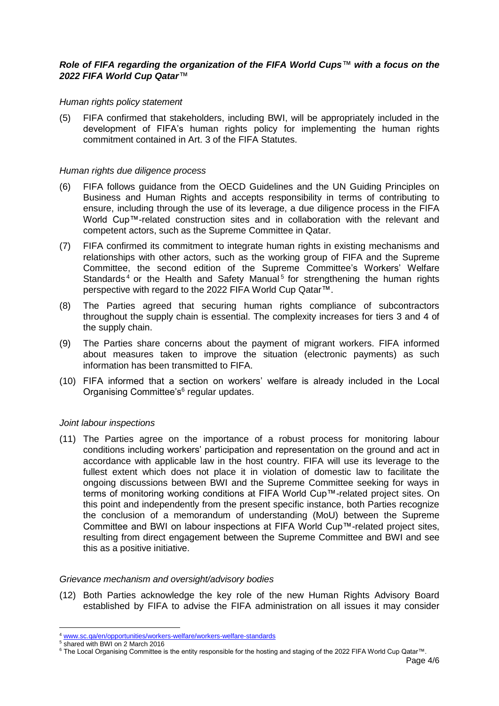#### *Role of FIFA regarding the organization of the FIFA World Cups™ with a focus on the 2022 FIFA World Cup Qatar™*

#### *Human rights policy statement*

(5) FIFA confirmed that stakeholders, including BWI, will be appropriately included in the development of FIFA's human rights policy for implementing the human rights commitment contained in Art. 3 of the FIFA Statutes.

#### *Human rights due diligence process*

- (6) FIFA follows guidance from the OECD Guidelines and the UN Guiding Principles on Business and Human Rights and accepts responsibility in terms of contributing to ensure, including through the use of its leverage, a due diligence process in the FIFA World Cup™-related construction sites and in collaboration with the relevant and competent actors, such as the Supreme Committee in Qatar.
- (7) FIFA confirmed its commitment to integrate human rights in existing mechanisms and relationships with other actors, such as the working group of FIFA and the Supreme Committee, the second edition of the Supreme Committee's Workers' Welfare Standards<sup>4</sup> or the Health and Safety Manual<sup>5</sup> for strengthening the human rights perspective with regard to the 2022 FIFA World Cup Qatar™.
- (8) The Parties agreed that securing human rights compliance of subcontractors throughout the supply chain is essential. The complexity increases for tiers 3 and 4 of the supply chain.
- (9) The Parties share concerns about the payment of migrant workers. FIFA informed about measures taken to improve the situation (electronic payments) as such information has been transmitted to FIFA.
- (10) FIFA informed that a section on workers' welfare is already included in the Local Organising Committee's<sup>6</sup> regular updates.

#### *Joint labour inspections*

(11) The Parties agree on the importance of a robust process for monitoring labour conditions including workers' participation and representation on the ground and act in accordance with applicable law in the host country. FIFA will use its leverage to the fullest extent which does not place it in violation of domestic law to facilitate the ongoing discussions between BWI and the Supreme Committee seeking for ways in terms of monitoring working conditions at FIFA World Cup™-related project sites. On this point and independently from the present specific instance, both Parties recognize the conclusion of a memorandum of understanding (MoU) between the Supreme Committee and BWI on labour inspections at FIFA World Cup™-related project sites, resulting from direct engagement between the Supreme Committee and BWI and see this as a positive initiative.

#### *Grievance mechanism and oversight/advisory bodies*

(12) Both Parties acknowledge the key role of the new Human Rights Advisory Board established by FIFA to advise the FIFA administration on all issues it may consider

 $\overline{\phantom{a}}$ 

<sup>4</sup> [www.sc.qa/en/opportunities/workers-welfare/workers-welfare-standards](http://www.sc.qa/en/opportunities/workers-welfare/workers-welfare-standards)

<sup>5</sup> shared with BWI on 2 March 2016

<sup>6</sup> The Local Organising Committee is the entity responsible for the hosting and staging of the 2022 FIFA World Cup Qatar™.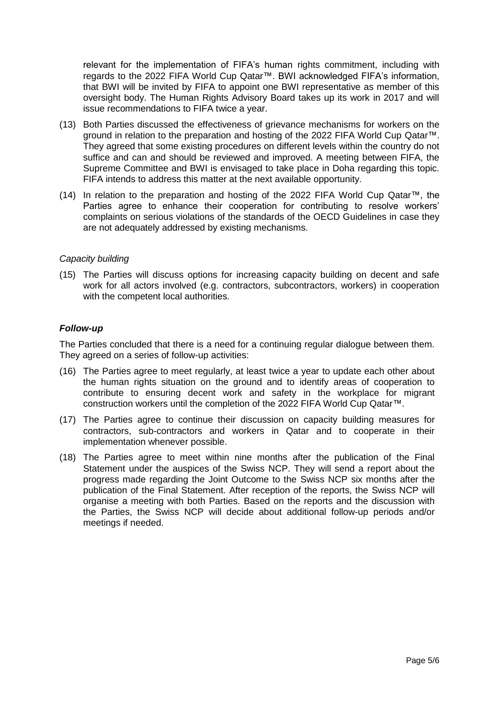relevant for the implementation of FIFA's human rights commitment, including with regards to the 2022 FIFA World Cup Qatar™. BWI acknowledged FIFA's information, that BWI will be invited by FIFA to appoint one BWI representative as member of this oversight body. The Human Rights Advisory Board takes up its work in 2017 and will issue recommendations to FIFA twice a year.

- (13) Both Parties discussed the effectiveness of grievance mechanisms for workers on the ground in relation to the preparation and hosting of the 2022 FIFA World Cup Qatar™. They agreed that some existing procedures on different levels within the country do not suffice and can and should be reviewed and improved. A meeting between FIFA, the Supreme Committee and BWI is envisaged to take place in Doha regarding this topic. FIFA intends to address this matter at the next available opportunity.
- (14) In relation to the preparation and hosting of the 2022 FIFA World Cup Qatar™, the Parties agree to enhance their cooperation for contributing to resolve workers' complaints on serious violations of the standards of the OECD Guidelines in case they are not adequately addressed by existing mechanisms.

#### *Capacity building*

(15) The Parties will discuss options for increasing capacity building on decent and safe work for all actors involved (e.g. contractors, subcontractors, workers) in cooperation with the competent local authorities.

#### *Follow-up*

The Parties concluded that there is a need for a continuing regular dialogue between them. They agreed on a series of follow-up activities:

- (16) The Parties agree to meet regularly, at least twice a year to update each other about the human rights situation on the ground and to identify areas of cooperation to contribute to ensuring decent work and safety in the workplace for migrant construction workers until the completion of the 2022 FIFA World Cup Qatar™.
- (17) The Parties agree to continue their discussion on capacity building measures for contractors, sub-contractors and workers in Qatar and to cooperate in their implementation whenever possible.
- (18) The Parties agree to meet within nine months after the publication of the Final Statement under the auspices of the Swiss NCP. They will send a report about the progress made regarding the Joint Outcome to the Swiss NCP six months after the publication of the Final Statement. After reception of the reports, the Swiss NCP will organise a meeting with both Parties. Based on the reports and the discussion with the Parties, the Swiss NCP will decide about additional follow-up periods and/or meetings if needed.